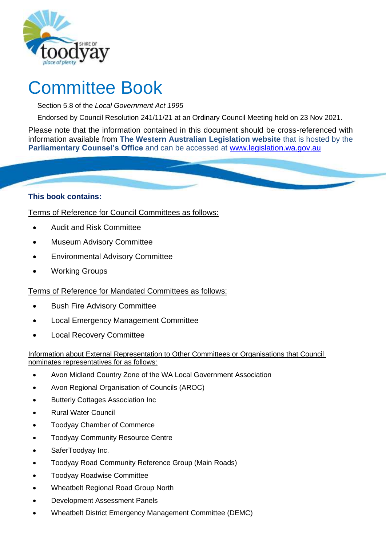

# Committee Book

Section 5.8 of the *Local Government Act 1995*

Endorsed by Council Resolution 241/11/21 at an Ordinary Council Meeting held on 23 Nov 2021.

Please note that the information contained in this document should be cross-referenced with information available from **The Western Australian Legislation website** that is hosted by the **Parliamentary Counsel's Office** and can be accessed at [www.legislation.wa.gov.au](http://www.legislation.wa.gov.au/)

# **This book contains:**

Terms of Reference for Council Committees as follows:

- Audit and Risk Committee
- Museum Advisory Committee
- Environmental Advisory Committee
- Working Groups

Terms of Reference for Mandated Committees as follows:

- Bush Fire Advisory Committee
- Local Emergency Management Committee
- Local Recovery Committee

#### Information about External Representation to Other Committees or Organisations that Council nominates representatives for as follows:

- Avon Midland Country Zone of the WA Local Government Association
- Avon Regional Organisation of Councils (AROC)
- **Butterly Cottages Association Inc.**
- Rural Water Council
- Toodyay Chamber of Commerce
- Toodyay Community Resource Centre
- SaferToodyay Inc.
- Toodyay Road Community Reference Group (Main Roads)
- Toodyay Roadwise Committee
- Wheatbelt Regional Road Group North
- Development Assessment Panels
- Wheatbelt District Emergency Management Committee (DEMC)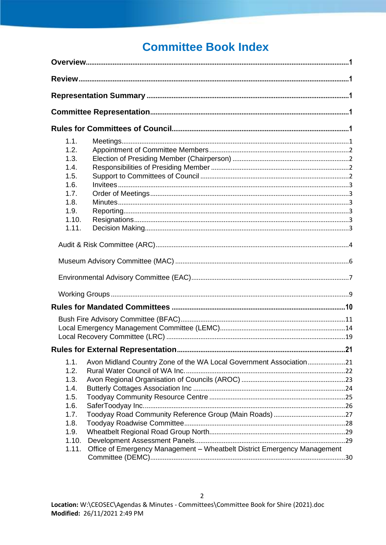# **Committee Book Index**

| 1.1.<br>1.2.<br>1.3.<br>1.4.<br>1.5.<br>1.6.<br>1.7.<br>1.8.<br>1.9.<br>1.10.<br>1.11. |                                                                          |  |
|----------------------------------------------------------------------------------------|--------------------------------------------------------------------------|--|
|                                                                                        |                                                                          |  |
|                                                                                        |                                                                          |  |
|                                                                                        |                                                                          |  |
|                                                                                        |                                                                          |  |
| 1.1.                                                                                   | Avon Midland Country Zone of the WA Local Government Association21       |  |
| 1.2.<br>1.3.<br>1.4.<br>1.5.<br>1.6.<br>1.7.<br>1.8.<br>1.9.<br>1.10.<br>1.11.         | Office of Emergency Management - Wheatbelt District Emergency Management |  |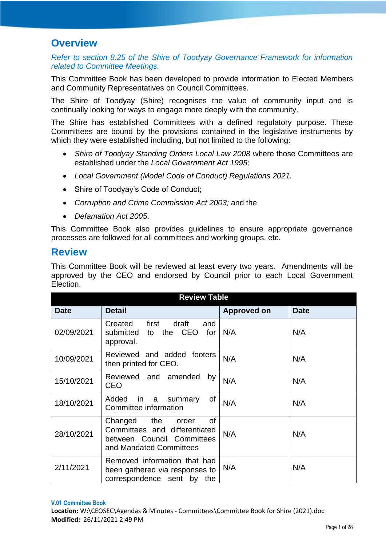# <span id="page-2-0"></span>**Overview**

# *Refer to section 8.25 of the Shire of Toodyay Governance Framework for information related to Committee Meetings.*

This Committee Book has been developed to provide information to Elected Members and Community Representatives on Council Committees.

The Shire of Toodyay (Shire) recognises the value of community input and is continually looking for ways to engage more deeply with the community.

The Shire has established Committees with a defined regulatory purpose. These Committees are bound by the provisions contained in the legislative instruments by which they were established including, but not limited to the following:

- *Shire of Toodyay Standing Orders Local Law 2008* where those Committees are established under the *Local Government Act 1995;*
- *Local Government (Model Code of Conduct) Regulations 2021.*
- Shire of Toodyay's Code of Conduct;
- *Corruption and Crime Commission Act 2003;* and the
- *Defamation Act 2005*.

This Committee Book also provides guidelines to ensure appropriate governance processes are followed for all committees and working groups, etc.

# <span id="page-2-1"></span>**Review**

This Committee Book will be reviewed at least every two years. Amendments will be approved by the CEO and endorsed by Council prior to each Local Government Election.

| <b>Review Table</b> |                                                                                                                   |             |             |  |  |  |
|---------------------|-------------------------------------------------------------------------------------------------------------------|-------------|-------------|--|--|--|
| <b>Date</b>         | <b>Detail</b>                                                                                                     | Approved on | <b>Date</b> |  |  |  |
| 02/09/2021          | first<br>draft<br>Created<br>and<br>submitted to<br>the CEO for<br>approval.                                      | N/A         | N/A         |  |  |  |
| 10/09/2021          | Reviewed and added footers<br>then printed for CEO.                                                               | N/A         | N/A         |  |  |  |
| 15/10/2021          | Reviewed and amended<br>by<br>CEO                                                                                 | N/A         | N/A         |  |  |  |
| 18/10/2021          | of<br>Added<br>in in<br>a<br>summary<br>Committee information                                                     | N/A         | N/A         |  |  |  |
| 28/10/2021          | 0f<br>Changed the order<br>Committees and differentiated<br>between Council Committees<br>and Mandated Committees | N/A         | N/A         |  |  |  |
| 2/11/2021           | Removed information that had<br>been gathered via responses to<br>correspondence sent by<br>the                   | N/A         | N/A         |  |  |  |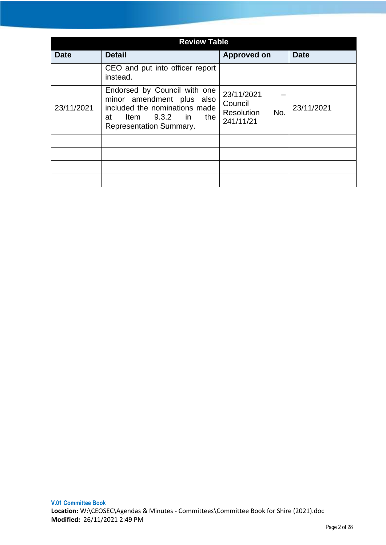| <b>Review Table</b> |                                                                                                                                                           |                                                                |             |  |  |  |
|---------------------|-----------------------------------------------------------------------------------------------------------------------------------------------------------|----------------------------------------------------------------|-------------|--|--|--|
| Date                | <b>Detail</b>                                                                                                                                             | <b>Approved on</b>                                             | <b>Date</b> |  |  |  |
|                     | CEO and put into officer report<br>instead.                                                                                                               |                                                                |             |  |  |  |
| 23/11/2021          | Endorsed by Council with one<br>minor amendment plus also<br>included the nominations made<br>Item $9.3.2$ in the<br>at<br><b>Representation Summary.</b> | 23/11/2021<br>Council<br><b>Resolution</b><br>No.<br>241/11/21 | 23/11/2021  |  |  |  |
|                     |                                                                                                                                                           |                                                                |             |  |  |  |
|                     |                                                                                                                                                           |                                                                |             |  |  |  |
|                     |                                                                                                                                                           |                                                                |             |  |  |  |
|                     |                                                                                                                                                           |                                                                |             |  |  |  |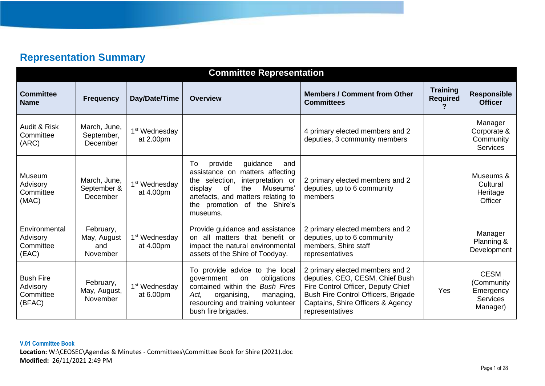# **Representation Summary**

<span id="page-4-1"></span><span id="page-4-0"></span>

| <b>Committee Representation</b>                     |                                             |                                        |                                                                                                                                                                                                                                  |                                                                                                                                                                                                         |                                    |                                                                       |
|-----------------------------------------------------|---------------------------------------------|----------------------------------------|----------------------------------------------------------------------------------------------------------------------------------------------------------------------------------------------------------------------------------|---------------------------------------------------------------------------------------------------------------------------------------------------------------------------------------------------------|------------------------------------|-----------------------------------------------------------------------|
| <b>Committee</b><br><b>Name</b>                     | <b>Frequency</b>                            | Day/Date/Time                          | <b>Overview</b>                                                                                                                                                                                                                  | <b>Members / Comment from Other</b><br><b>Committees</b>                                                                                                                                                | <b>Training</b><br><b>Required</b> | <b>Responsible</b><br><b>Officer</b>                                  |
| Audit & Risk<br>Committee<br>(ARC)                  | March, June,<br>September,<br>December      | 1 <sup>st</sup> Wednesday<br>at 2.00pm |                                                                                                                                                                                                                                  | 4 primary elected members and 2<br>deputies, 3 community members                                                                                                                                        |                                    | Manager<br>Corporate &<br>Community<br><b>Services</b>                |
| <b>Museum</b><br>Advisory<br>Committee<br>(MAC)     | March, June,<br>September &<br>December     | 1 <sup>st</sup> Wednesday<br>at 4.00pm | To<br>provide<br>guidance<br>and<br>assistance on matters affecting<br>interpretation or<br>the selection,<br>display<br>of<br>the<br>Museums'<br>artefacts, and matters relating to<br>the promotion of the Shire's<br>museums. | 2 primary elected members and 2<br>deputies, up to 6 community<br>members                                                                                                                               |                                    | Museums &<br>Cultural<br>Heritage<br>Officer                          |
| Environmental<br>Advisory<br>Committee<br>(EAC)     | February,<br>May, August<br>and<br>November | 1 <sup>st</sup> Wednesday<br>at 4.00pm | Provide guidance and assistance<br>on all matters that benefit or<br>impact the natural environmental<br>assets of the Shire of Toodyay.                                                                                         | 2 primary elected members and 2<br>deputies, up to 6 community<br>members, Shire staff<br>representatives                                                                                               |                                    | Manager<br>Planning &<br>Development                                  |
| <b>Bush Fire</b><br>Advisory<br>Committee<br>(BFAC) | February,<br>May, August,<br>November       | 1 <sup>st</sup> Wednesday<br>at 6.00pm | To provide advice to the local<br>obligations<br>government<br>on<br>contained within the Bush Fires<br>organising,<br>Act,<br>managing,<br>resourcing and training volunteer<br>bush fire brigades.                             | 2 primary elected members and 2<br>deputies, CEO, CESM, Chief Bush<br>Fire Control Officer, Deputy Chief<br>Bush Fire Control Officers, Brigade<br>Captains, Shire Officers & Agency<br>representatives | Yes                                | <b>CESM</b><br>(Community<br>Emergency<br><b>Services</b><br>Manager) |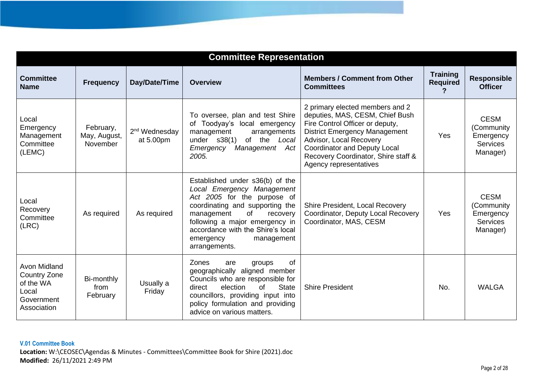| <b>Committee Representation</b>                                                        |                                       |                                        |                                                                                                                                                                                                                                                                                    |                                                                                                                                                                                                                                                                                  |                                    |                                                                       |
|----------------------------------------------------------------------------------------|---------------------------------------|----------------------------------------|------------------------------------------------------------------------------------------------------------------------------------------------------------------------------------------------------------------------------------------------------------------------------------|----------------------------------------------------------------------------------------------------------------------------------------------------------------------------------------------------------------------------------------------------------------------------------|------------------------------------|-----------------------------------------------------------------------|
| <b>Committee</b><br><b>Name</b>                                                        | <b>Frequency</b>                      | Day/Date/Time                          | <b>Overview</b>                                                                                                                                                                                                                                                                    | <b>Members / Comment from Other</b><br><b>Committees</b>                                                                                                                                                                                                                         | <b>Training</b><br><b>Required</b> | <b>Responsible</b><br><b>Officer</b>                                  |
| Local<br>Emergency<br>Management<br>Committee<br>(LEMC)                                | February,<br>May, August,<br>November | 2 <sup>nd</sup> Wednesday<br>at 5.00pm | To oversee, plan and test Shire<br>of Toodyay's local emergency<br>management<br>arrangements<br>under $s38(1)$<br>of the Local<br>Management Act<br>Emergency<br>2005.                                                                                                            | 2 primary elected members and 2<br>deputies, MAS, CESM, Chief Bush<br>Fire Control Officer or deputy,<br><b>District Emergency Management</b><br>Advisor, Local Recovery<br><b>Coordinator and Deputy Local</b><br>Recovery Coordinator, Shire staff &<br>Agency representatives | Yes                                | <b>CESM</b><br>(Community<br>Emergency<br><b>Services</b><br>Manager) |
| Local<br>Recovery<br>Committee<br>(LRC)                                                | As required                           | As required                            | Established under s36(b) of the<br>Local Emergency Management<br>Act 2005 for the purpose of<br>coordinating and supporting the<br>management<br>of<br>recovery<br>following a major emergency in<br>accordance with the Shire's local<br>emergency<br>management<br>arrangements. | Shire President, Local Recovery<br>Coordinator, Deputy Local Recovery<br>Coordinator, MAS, CESM                                                                                                                                                                                  | Yes                                | <b>CESM</b><br>(Community<br>Emergency<br><b>Services</b><br>Manager) |
| Avon Midland<br><b>Country Zone</b><br>of the WA<br>Local<br>Government<br>Association | Bi-monthly<br>from<br>February        | Usually a<br>Friday                    | Zones<br><b>of</b><br>groups<br>are<br>geographically aligned member<br>Councils who are responsible for<br><b>State</b><br>election<br>of<br>direct<br>councillors, providing input into<br>policy formulation and providing<br>advice on various matters.                        | <b>Shire President</b>                                                                                                                                                                                                                                                           | No.                                | <b>WALGA</b>                                                          |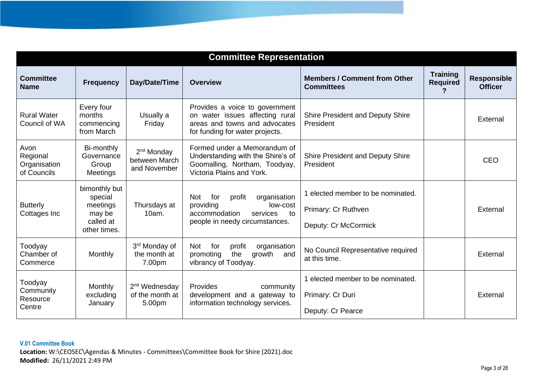| <b>Committee Representation</b>                 |                                                                             |                                                         |                                                                                                                                                       |                                                                                  |                                         |                                      |
|-------------------------------------------------|-----------------------------------------------------------------------------|---------------------------------------------------------|-------------------------------------------------------------------------------------------------------------------------------------------------------|----------------------------------------------------------------------------------|-----------------------------------------|--------------------------------------|
| <b>Committee</b><br><b>Name</b>                 | <b>Frequency</b>                                                            | Day/Date/Time                                           | <b>Overview</b>                                                                                                                                       | <b>Members / Comment from Other</b><br><b>Committees</b>                         | <b>Training</b><br><b>Required</b><br>? | <b>Responsible</b><br><b>Officer</b> |
| <b>Rural Water</b><br>Council of WA             | Every four<br>months<br>commencing<br>from March                            | Usually a<br>Friday                                     | Provides a voice to government<br>on water issues affecting rural<br>areas and towns and advocates<br>for funding for water projects.                 | <b>Shire President and Deputy Shire</b><br>President                             |                                         | External                             |
| Avon<br>Regional<br>Organisation<br>of Councils | Bi-monthly<br>Governance<br>Group<br><b>Meetings</b>                        | 2 <sup>nd</sup> Monday<br>between March<br>and November | Formed under a Memorandum of<br>Understanding with the Shire's of<br>Goomalling, Northam, Toodyay,<br>Victoria Plains and York.                       | <b>Shire President and Deputy Shire</b><br>President                             |                                         | <b>CEO</b>                           |
| <b>Butterly</b><br>Cottages Inc                 | bimonthly but<br>special<br>meetings<br>may be<br>called at<br>other times. | Thursdays at<br>10am.                                   | for<br>organisation<br><b>Not</b><br>profit<br>providing<br>low-cost<br>accommodation<br>services<br>$\overline{t}$<br>people in needy circumstances. | 1 elected member to be nominated.<br>Primary: Cr Ruthven<br>Deputy: Cr McCormick |                                         | External                             |
| Toodyay<br>Chamber of<br>Commerce               | Monthly                                                                     | 3rd Monday of<br>the month at<br>7.00pm                 | for<br>profit<br><b>Not</b><br>organisation<br>growth<br>promoting<br>the<br>and<br>vibrancy of Toodyay.                                              | No Council Representative required<br>at this time.                              |                                         | External                             |
| Toodyay<br>Community<br>Resource<br>Centre      | Monthly<br>excluding<br>January                                             | 2 <sup>nd</sup> Wednesday<br>of the month at<br>5.00pm  | Provides<br>community<br>development and a gateway to<br>information technology services.                                                             | 1 elected member to be nominated.<br>Primary: Cr Duri<br>Deputy: Cr Pearce       |                                         | External                             |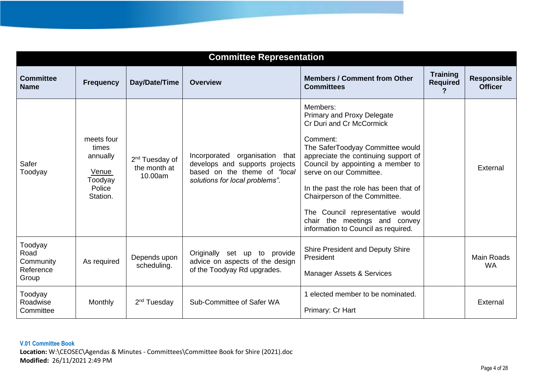| <b>Committee Representation</b>                    |                                                                           |                                                       |                                                                                                                                    |                                                                                                                                                                                                                                                                                                                                                                                                                         |                                    |                                      |
|----------------------------------------------------|---------------------------------------------------------------------------|-------------------------------------------------------|------------------------------------------------------------------------------------------------------------------------------------|-------------------------------------------------------------------------------------------------------------------------------------------------------------------------------------------------------------------------------------------------------------------------------------------------------------------------------------------------------------------------------------------------------------------------|------------------------------------|--------------------------------------|
| <b>Committee</b><br><b>Name</b>                    | <b>Frequency</b>                                                          | Day/Date/Time                                         | <b>Overview</b>                                                                                                                    | <b>Members / Comment from Other</b><br><b>Committees</b>                                                                                                                                                                                                                                                                                                                                                                | <b>Training</b><br><b>Required</b> | <b>Responsible</b><br><b>Officer</b> |
| Safer<br>Toodyay                                   | meets four<br>times<br>annually<br>Venue<br>Toodyay<br>Police<br>Station. | 2 <sup>nd</sup> Tuesday of<br>the month at<br>10.00am | Incorporated organisation that<br>develops and supports projects<br>based on the theme of "local<br>solutions for local problems". | Members:<br><b>Primary and Proxy Delegate</b><br>Cr Duri and Cr McCormick<br>Comment:<br>The SaferToodyay Committee would<br>appreciate the continuing support of<br>Council by appointing a member to<br>serve on our Committee.<br>In the past the role has been that of<br>Chairperson of the Committee.<br>The Council representative would<br>chair the meetings and convey<br>information to Council as required. |                                    | External                             |
| Toodyay<br>Road<br>Community<br>Reference<br>Group | As required                                                               | Depends upon<br>scheduling.                           | Originally set up to provide<br>advice on aspects of the design<br>of the Toodyay Rd upgrades.                                     | Shire President and Deputy Shire<br>President<br><b>Manager Assets &amp; Services</b>                                                                                                                                                                                                                                                                                                                                   |                                    | <b>Main Roads</b><br><b>WA</b>       |
| Toodyay<br>Roadwise<br>Committee                   | Monthly                                                                   | 2 <sup>nd</sup> Tuesday                               | Sub-Committee of Safer WA                                                                                                          | 1 elected member to be nominated.<br>Primary: Cr Hart                                                                                                                                                                                                                                                                                                                                                                   |                                    | External                             |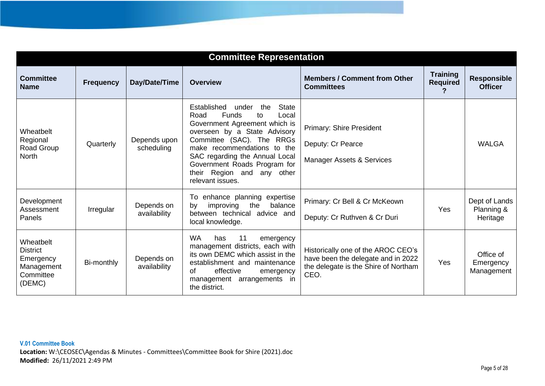| <b>Committee Representation</b>                                                |                  |                            |                                                                                                                                                                                                                                                                                                                                               |                                                                                                                          |                                    |                                         |
|--------------------------------------------------------------------------------|------------------|----------------------------|-----------------------------------------------------------------------------------------------------------------------------------------------------------------------------------------------------------------------------------------------------------------------------------------------------------------------------------------------|--------------------------------------------------------------------------------------------------------------------------|------------------------------------|-----------------------------------------|
| <b>Committee</b><br><b>Name</b>                                                | <b>Frequency</b> | Day/Date/Time              | Overview                                                                                                                                                                                                                                                                                                                                      | <b>Members / Comment from Other</b><br><b>Committees</b>                                                                 | <b>Training</b><br><b>Required</b> | <b>Responsible</b><br><b>Officer</b>    |
| Wheatbelt<br>Regional<br>Road Group<br><b>North</b>                            | Quarterly        | Depends upon<br>scheduling | <b>State</b><br>Established<br>the<br>under<br><b>Funds</b><br>Road<br>Local<br>to<br>Government Agreement which is<br>overseen by a State Advisory<br>Committee (SAC). The<br><b>RRGs</b><br>make recommendations to the<br>SAC regarding the Annual Local<br>Government Roads Program for<br>their Region and any other<br>relevant issues. | <b>Primary: Shire President</b><br>Deputy: Cr Pearce<br><b>Manager Assets &amp; Services</b>                             |                                    | <b>WALGA</b>                            |
| Development<br>Assessment<br>Panels                                            | Irregular        | Depends on<br>availability | enhance planning expertise<br>To<br>the<br>balance<br>improving<br>by<br>between technical advice and<br>local knowledge.                                                                                                                                                                                                                     | Primary: Cr Bell & Cr McKeown<br>Deputy: Cr Ruthven & Cr Duri                                                            | Yes                                | Dept of Lands<br>Planning &<br>Heritage |
| Wheatbelt<br><b>District</b><br>Emergency<br>Management<br>Committee<br>(DEMC) | Bi-monthly       | Depends on<br>availability | <b>WA</b><br>11<br>has<br>emergency<br>management districts, each with<br>its own DEMC which assist in the<br>establishment and maintenance<br>effective<br>of<br>emergency<br>arrangements in<br>management<br>the district.                                                                                                                 | Historically one of the AROC CEO's<br>have been the delegate and in 2022<br>the delegate is the Shire of Northam<br>CEO. | Yes                                | Office of<br>Emergency<br>Management    |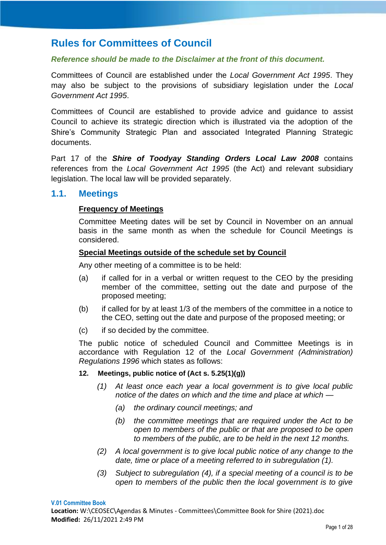# <span id="page-9-0"></span>**Rules for Committees of Council**

#### *Reference should be made to the Disclaimer at the front of this document.*

Committees of Council are established under the *Local Government Act 1995*. They may also be subject to the provisions of subsidiary legislation under the *Local Government Act 1995*.

Committees of Council are established to provide advice and guidance to assist Council to achieve its strategic direction which is illustrated via the adoption of the Shire's Community Strategic Plan and associated Integrated Planning Strategic documents.

Part 17 of the *Shire of Toodyay Standing Orders Local Law 2008* contains references from the *Local Government Act 1995* (the Act) and relevant subsidiary legislation. The local law will be provided separately.

# <span id="page-9-1"></span>**1.1. Meetings**

# **Frequency of Meetings**

Committee Meeting dates will be set by Council in November on an annual basis in the same month as when the schedule for Council Meetings is considered.

#### **Special Meetings outside of the schedule set by Council**

Any other meeting of a committee is to be held:

- (a) if called for in a verbal or written request to the CEO by the presiding member of the committee, setting out the date and purpose of the proposed meeting;
- (b) if called for by at least 1/3 of the members of the committee in a notice to the CEO, setting out the date and purpose of the proposed meeting; or
- (c) if so decided by the committee.

The public notice of scheduled Council and Committee Meetings is in accordance with Regulation 12 of the *Local Government (Administration) Regulations 1996* which states as follows:

#### **12. Meetings, public notice of (Act s. 5.25(1)(g))**

- *(1) At least once each year a local government is to give local public notice of the dates on which and the time and place at which —*
	- *(a) the ordinary council meetings; and*
	- *(b) the committee meetings that are required under the Act to be open to members of the public or that are proposed to be open to members of the public, are to be held in the next 12 months.*
- *(2) A local government is to give local public notice of any change to the date, time or place of a meeting referred to in subregulation (1).*
- *(3) Subject to subregulation (4), if a special meeting of a council is to be open to members of the public then the local government is to give*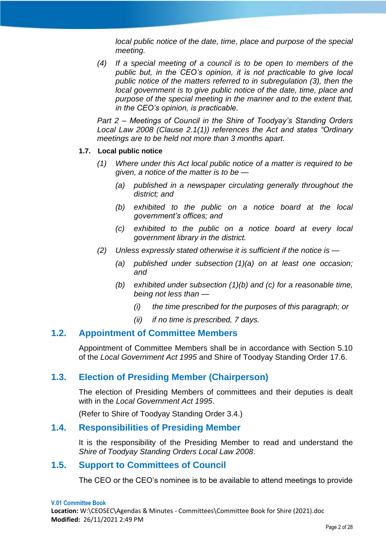*local public notice of the date, time, place and purpose of the special meeting.*

*(4) If a special meeting of a council is to be open to members of the public but, in the CEO's opinion, it is not practicable to give local public notice of the matters referred to in subregulation (3), then the local government is to give public notice of the date, time, place and purpose of the special meeting in the manner and to the extent that, in the CEO's opinion, is practicable.*

*Part 2 – Meetings of Council in the Shire of Toodyay's Standing Orders Local Law 2008 (Clause 2.1(1)) references the Act and states "Ordinary meetings are to be held not more than 3 months apart.*

#### **1.7. Local public notice**

- *(1) Where under this Act local public notice of a matter is required to be given, a notice of the matter is to be —*
	- *(a) published in a newspaper circulating generally throughout the district; and*
	- *(b) exhibited to the public on a notice board at the local government's offices; and*
	- *(c) exhibited to the public on a notice board at every local government library in the district.*
- *(2) Unless expressly stated otherwise it is sufficient if the notice is —*
	- *(a) published under subsection (1)(a) on at least one occasion; and*
	- *(b) exhibited under subsection (1)(b) and (c) for a reasonable time, being not less than —*
		- *(i) the time prescribed for the purposes of this paragraph; or*
		- *(ii) if no time is prescribed, 7 days.*

### <span id="page-10-0"></span>**1.2. Appointment of Committee Members**

Appointment of Committee Members shall be in accordance with Section 5.10 of the *Local Government Act 1995* and Shire of Toodyay Standing Order 17.6.

# <span id="page-10-1"></span>**1.3. Election of Presiding Member (Chairperson)**

The election of Presiding Members of committees and their deputies is dealt with in the *Local Government Act 1995*.

(Refer to Shire of Toodyay Standing Order 3.4.)

# <span id="page-10-2"></span>**1.4. Responsibilities of Presiding Member**

It is the responsibility of the Presiding Member to read and understand the *Shire of Toodyay Standing Orders Local Law 2008*.

# <span id="page-10-3"></span>**1.5. Support to Committees of Council**

The CEO or the CEO's nominee is to be available to attend meetings to provide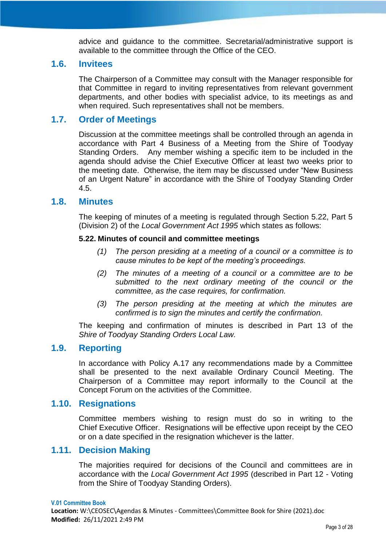advice and guidance to the committee. Secretarial/administrative support is available to the committee through the Office of the CEO.

#### <span id="page-11-0"></span>**1.6. Invitees**

The Chairperson of a Committee may consult with the Manager responsible for that Committee in regard to inviting representatives from relevant government departments, and other bodies with specialist advice, to its meetings as and when required. Such representatives shall not be members.

# <span id="page-11-1"></span>**1.7. Order of Meetings**

Discussion at the committee meetings shall be controlled through an agenda in accordance with Part 4 Business of a Meeting from the Shire of Toodyay Standing Orders. Any member wishing a specific item to be included in the agenda should advise the Chief Executive Officer at least two weeks prior to the meeting date. Otherwise, the item may be discussed under "New Business of an Urgent Nature" in accordance with the Shire of Toodyay Standing Order 4.5.

# <span id="page-11-2"></span>**1.8. Minutes**

The keeping of minutes of a meeting is regulated through Section 5.22, Part 5 (Division 2) of the *Local Government Act 1995* which states as follows:

#### **5.22. Minutes of council and committee meetings**

- *(1) The person presiding at a meeting of a council or a committee is to cause minutes to be kept of the meeting's proceedings.*
- *(2) The minutes of a meeting of a council or a committee are to be submitted to the next ordinary meeting of the council or the committee, as the case requires, for confirmation.*
- *(3) The person presiding at the meeting at which the minutes are confirmed is to sign the minutes and certify the confirmation.*

The keeping and confirmation of minutes is described in Part 13 of the *Shire of Toodyay Standing Orders Local Law.*

# <span id="page-11-3"></span>**1.9. Reporting**

In accordance with Policy A.17 any recommendations made by a Committee shall be presented to the next available Ordinary Council Meeting. The Chairperson of a Committee may report informally to the Council at the Concept Forum on the activities of the Committee.

#### <span id="page-11-4"></span>**1.10. Resignations**

Committee members wishing to resign must do so in writing to the Chief Executive Officer. Resignations will be effective upon receipt by the CEO or on a date specified in the resignation whichever is the latter.

# <span id="page-11-5"></span>**1.11. Decision Making**

The majorities required for decisions of the Council and committees are in accordance with the *Local Government Act 1995* (described in Part 12 - Voting from the Shire of Toodyay Standing Orders).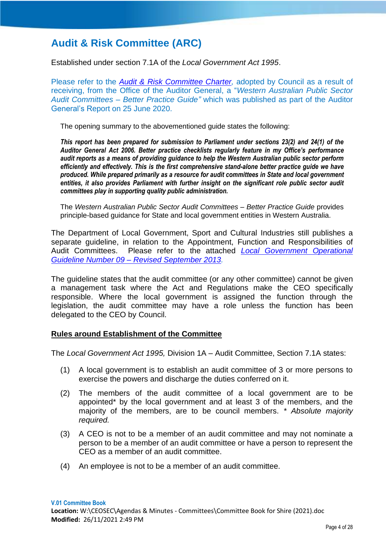# <span id="page-12-0"></span>**Audit & Risk Committee (ARC)**

Established under section 7.1A of the *Local Government Act 1995*.

Please refer to the *Audit & Risk Committee Charter*, adopted by Council as a result of receiving, from the Office of the Auditor General, a "*Western Australian Public Sector Audit Committees – Better Practice Guide"* which was published as part of the Auditor General's Report on 25 June 2020.

The opening summary to the abovementioned guide states the following:

*This report has been prepared for submission to Parliament under sections 23(2) and 24(1) of the Auditor General Act 2006. Better practice checklists regularly feature in my Office's performance audit reports as a means of providing guidance to help the Western Australian public sector perform efficiently and effectively. This is the first comprehensive stand-alone better practice guide we have produced. While prepared primarily as a resource for audit committees in State and local government entities, it also provides Parliament with further insight on the significant role public sector audit committees play in supporting quality public administration.*

The *Western Australian Public Sector Audit Committees – Better Practice Guide* provides principle-based guidance for State and local government entities in Western Australia.

The Department of Local Government, Sport and Cultural Industries still publishes a separate guideline, in relation to the Appointment, Function and Responsibilities of Audit Committees. Please refer to the attached *[Local Government Operational](https://www.dlgsc.wa.gov.au/docs/default-source/local-government/operational-guidelines/operational-guideline-9-the-appointment-function-and-responsibilities-of-audit-committess.pdf?sfvrsn=77bf5a06_1)  Guideline Number 09 – [Revised September 2013.](https://www.dlgsc.wa.gov.au/docs/default-source/local-government/operational-guidelines/operational-guideline-9-the-appointment-function-and-responsibilities-of-audit-committess.pdf?sfvrsn=77bf5a06_1)*

The guideline states that the audit committee (or any other committee) cannot be given a management task where the Act and Regulations make the CEO specifically responsible. Where the local government is assigned the function through the legislation, the audit committee may have a role unless the function has been delegated to the CEO by Council.

#### **Rules around Establishment of the Committee**

The *Local Government Act 1995,* Division 1A – Audit Committee, Section 7.1A states:

- (1) A local government is to establish an audit committee of 3 or more persons to exercise the powers and discharge the duties conferred on it.
- (2) The members of the audit committee of a local government are to be appointed\* by the local government and at least 3 of the members, and the majority of the members, are to be council members. *\* Absolute majority required.*
- (3) A CEO is not to be a member of an audit committee and may not nominate a person to be a member of an audit committee or have a person to represent the CEO as a member of an audit committee.
- (4) An employee is not to be a member of an audit committee.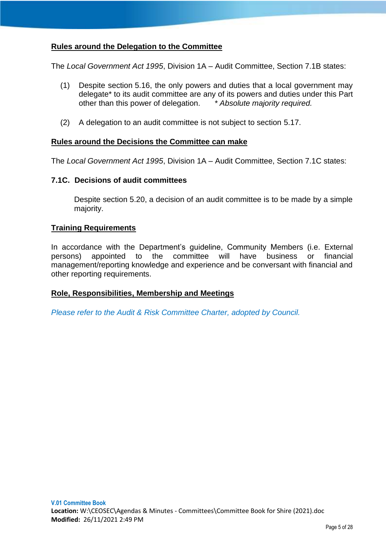# **Rules around the Delegation to the Committee**

The *Local Government Act 1995*, Division 1A – Audit Committee, Section 7.1B states:

- (1) Despite section 5.16, the only powers and duties that a local government may delegate\* to its audit committee are any of its powers and duties under this Part other than this power of delegation. *\* Absolute majority required.*
- (2) A delegation to an audit committee is not subject to section 5.17.

#### **Rules around the Decisions the Committee can make**

The *Local Government Act 1995*, Division 1A – Audit Committee, Section 7.1C states:

#### **7.1C. Decisions of audit committees**

Despite section 5.20, a decision of an audit committee is to be made by a simple majority.

#### **Training Requirements**

In accordance with the Department's guideline, Community Members (i.e. External persons) appointed to the committee will have business or financial management/reporting knowledge and experience and be conversant with financial and other reporting requirements.

# **Role, Responsibilities, Membership and Meetings**

*Please refer to the Audit & Risk Committee Charter, adopted by Council.*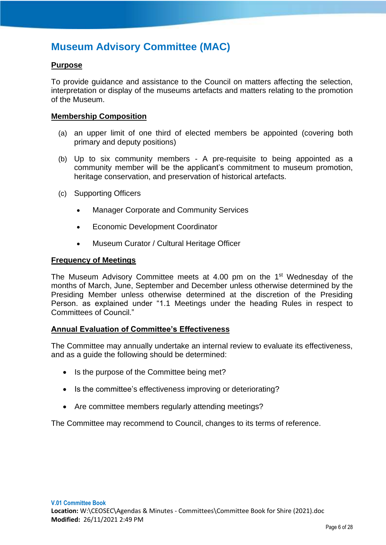# <span id="page-14-0"></span>**Museum Advisory Committee (MAC)**

# **Purpose**

To provide guidance and assistance to the Council on matters affecting the selection, interpretation or display of the museums artefacts and matters relating to the promotion of the Museum.

#### **Membership Composition**

- (a) an upper limit of one third of elected members be appointed (covering both primary and deputy positions)
- (b) Up to six community members A pre-requisite to being appointed as a community member will be the applicant's commitment to museum promotion, heritage conservation, and preservation of historical artefacts.
- (c) Supporting Officers
	- Manager Corporate and Community Services
	- Economic Development Coordinator
	- Museum Curator / Cultural Heritage Officer

# **Frequency of Meetings**

The Museum Advisory Committee meets at 4.00 pm on the 1<sup>st</sup> Wednesday of the months of March, June, September and December unless otherwise determined by the Presiding Member unless otherwise determined at the discretion of the Presiding Person. as explained under "1.1 Meetings under the heading Rules in respect to Committees of Council."

# **Annual Evaluation of Committee's Effectiveness**

The Committee may annually undertake an internal review to evaluate its effectiveness, and as a guide the following should be determined:

- Is the purpose of the Committee being met?
- Is the committee's effectiveness improving or deteriorating?
- Are committee members regularly attending meetings?

The Committee may recommend to Council, changes to its terms of reference.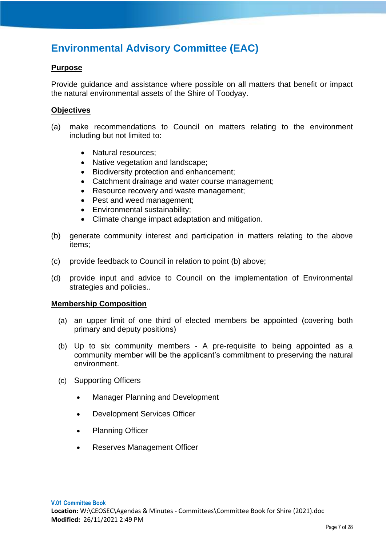# <span id="page-15-0"></span>**Environmental Advisory Committee (EAC)**

# **Purpose**

Provide guidance and assistance where possible on all matters that benefit or impact the natural environmental assets of the Shire of Toodyay.

# **Objectives**

- (a) make recommendations to Council on matters relating to the environment including but not limited to:
	- Natural resources;
	- Native vegetation and landscape;
	- Biodiversity protection and enhancement;
	- Catchment drainage and water course management;
	- Resource recovery and waste management;
	- Pest and weed management;
	- Environmental sustainability;
	- Climate change impact adaptation and mitigation.
- (b) generate community interest and participation in matters relating to the above items;
- (c) provide feedback to Council in relation to point (b) above;
- (d) provide input and advice to Council on the implementation of Environmental strategies and policies..

# **Membership Composition**

- (a) an upper limit of one third of elected members be appointed (covering both primary and deputy positions)
- (b) Up to six community members A pre-requisite to being appointed as a community member will be the applicant's commitment to preserving the natural environment.
- (c) Supporting Officers
	- Manager Planning and Development
	- Development Services Officer
	- Planning Officer
	- Reserves Management Officer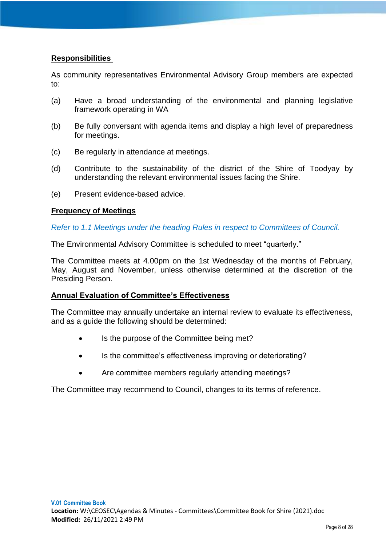# **Responsibilities**

As community representatives Environmental Advisory Group members are expected to:

- (a) Have a broad understanding of the environmental and planning legislative framework operating in WA
- (b) Be fully conversant with agenda items and display a high level of preparedness for meetings.
- (c) Be regularly in attendance at meetings.
- (d) Contribute to the sustainability of the district of the Shire of Toodyay by understanding the relevant environmental issues facing the Shire.
- (e) Present evidence-based advice.

# **Frequency of Meetings**

*Refer to 1.1 Meetings under the heading Rules in respect to Committees of Council.* 

The Environmental Advisory Committee is scheduled to meet "quarterly."

The Committee meets at 4.00pm on the 1st Wednesday of the months of February, May, August and November, unless otherwise determined at the discretion of the Presiding Person.

# **Annual Evaluation of Committee's Effectiveness**

The Committee may annually undertake an internal review to evaluate its effectiveness, and as a guide the following should be determined:

- Is the purpose of the Committee being met?
- Is the committee's effectiveness improving or deteriorating?
- Are committee members regularly attending meetings?

The Committee may recommend to Council, changes to its terms of reference.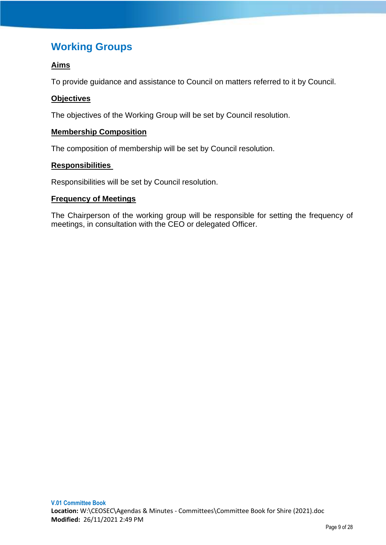# <span id="page-17-0"></span>**Working Groups**

# **Aims**

To provide guidance and assistance to Council on matters referred to it by Council.

# **Objectives**

The objectives of the Working Group will be set by Council resolution.

# **Membership Composition**

The composition of membership will be set by Council resolution.

# **Responsibilities**

Responsibilities will be set by Council resolution.

# **Frequency of Meetings**

The Chairperson of the working group will be responsible for setting the frequency of meetings, in consultation with the CEO or delegated Officer.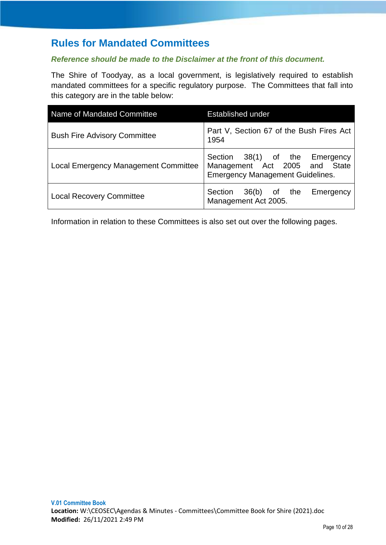# <span id="page-18-0"></span>**Rules for Mandated Committees**

# *Reference should be made to the Disclaimer at the front of this document.*

The Shire of Toodyay, as a local government, is legislatively required to establish mandated committees for a specific regulatory purpose. The Committees that fall into this category are in the table below:

| Name of Mandated Committee                  | <b>Established under</b>                                                                                   |
|---------------------------------------------|------------------------------------------------------------------------------------------------------------|
| <b>Bush Fire Advisory Committee</b>         | Part V, Section 67 of the Bush Fires Act<br>1954                                                           |
| <b>Local Emergency Management Committee</b> | Section 38(1) of the Emergency<br>Management Act 2005 and State<br><b>Emergency Management Guidelines.</b> |
| <b>Local Recovery Committee</b>             | Section 36(b) of the<br>Emergency<br>Management Act 2005.                                                  |

Information in relation to these Committees is also set out over the following pages.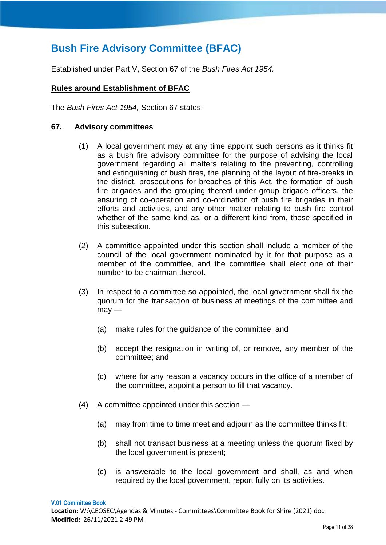# <span id="page-19-0"></span>**Bush Fire Advisory Committee (BFAC)**

Established under Part V, Section 67 of the *Bush Fires Act 1954.*

# **Rules around Establishment of BFAC**

The *Bush Fires Act 1954,* Section 67 states:

#### **67. Advisory committees**

- (1) A local government may at any time appoint such persons as it thinks fit as a bush fire advisory committee for the purpose of advising the local government regarding all matters relating to the preventing, controlling and extinguishing of bush fires, the planning of the layout of fire-breaks in the district, prosecutions for breaches of this Act, the formation of bush fire brigades and the grouping thereof under group brigade officers, the ensuring of co-operation and co-ordination of bush fire brigades in their efforts and activities, and any other matter relating to bush fire control whether of the same kind as, or a different kind from, those specified in this subsection.
- (2) A committee appointed under this section shall include a member of the council of the local government nominated by it for that purpose as a member of the committee, and the committee shall elect one of their number to be chairman thereof.
- (3) In respect to a committee so appointed, the local government shall fix the quorum for the transaction of business at meetings of the committee and  $may -$ 
	- (a) make rules for the guidance of the committee; and
	- (b) accept the resignation in writing of, or remove, any member of the committee; and
	- (c) where for any reason a vacancy occurs in the office of a member of the committee, appoint a person to fill that vacancy.
- (4) A committee appointed under this section
	- (a) may from time to time meet and adjourn as the committee thinks fit;
	- (b) shall not transact business at a meeting unless the quorum fixed by the local government is present;
	- (c) is answerable to the local government and shall, as and when required by the local government, report fully on its activities.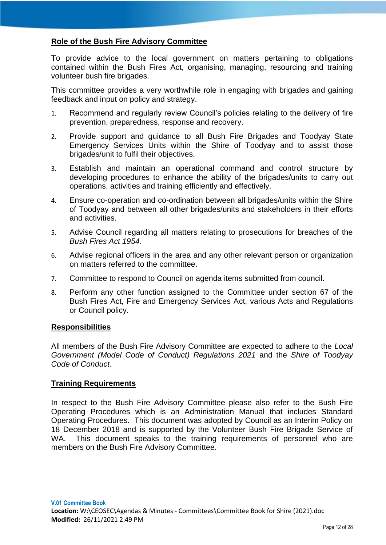# **Role of the Bush Fire Advisory Committee**

To provide advice to the local government on matters pertaining to obligations contained within the Bush Fires Act, organising, managing, resourcing and training volunteer bush fire brigades.

This committee provides a very worthwhile role in engaging with brigades and gaining feedback and input on policy and strategy.

- 1. Recommend and regularly review Council's policies relating to the delivery of fire prevention, preparedness, response and recovery.
- 2. Provide support and guidance to all Bush Fire Brigades and Toodyay State Emergency Services Units within the Shire of Toodyay and to assist those brigades/unit to fulfil their objectives.
- 3. Establish and maintain an operational command and control structure by developing procedures to enhance the ability of the brigades/units to carry out operations, activities and training efficiently and effectively.
- 4. Ensure co-operation and co-ordination between all brigades/units within the Shire of Toodyay and between all other brigades/units and stakeholders in their efforts and activities.
- 5. Advise Council regarding all matters relating to prosecutions for breaches of the *Bush Fires Act 1954.*
- 6. Advise regional officers in the area and any other relevant person or organization on matters referred to the committee.
- 7. Committee to respond to Council on agenda items submitted from council.
- 8. Perform any other function assigned to the Committee under section 67 of the Bush Fires Act, Fire and Emergency Services Act, various Acts and Regulations or Council policy.

#### **Responsibilities**

All members of the Bush Fire Advisory Committee are expected to adhere to the *Local Government (Model Code of Conduct) Regulations 2021* and the *Shire of Toodyay Code of Conduct.*

# **Training Requirements**

In respect to the Bush Fire Advisory Committee please also refer to the Bush Fire Operating Procedures which is an Administration Manual that includes Standard Operating Procedures. This document was adopted by Council as an Interim Policy on 18 December 2018 and is supported by the Volunteer Bush Fire Brigade Service of WA. This document speaks to the training requirements of personnel who are members on the Bush Fire Advisory Committee.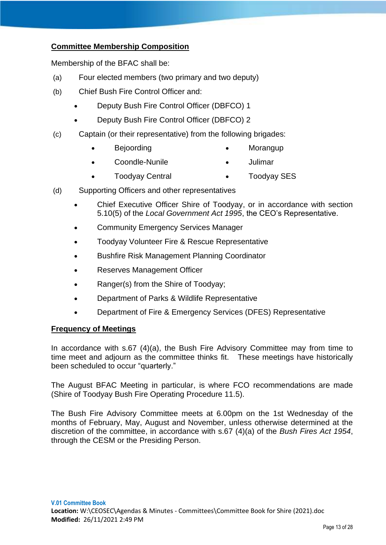# **Committee Membership Composition**

Membership of the BFAC shall be:

- (a) Four elected members (two primary and two deputy)
- (b) Chief Bush Fire Control Officer and:
	- Deputy Bush Fire Control Officer (DBFCO) 1
	- Deputy Bush Fire Control Officer (DBFCO) 2
- (c) Captain (or their representative) from the following brigades:
	- Bejoording Morangup
		- Coondle-Nunile Julimar
	- Toodyay Central Toodyay SES
- (d) Supporting Officers and other representatives
	- Chief Executive Officer Shire of Toodyay, or in accordance with section 5.10(5) of the *Local Government Act 1995*, the CEO's Representative.
	- Community Emergency Services Manager
	- Toodyay Volunteer Fire & Rescue Representative
	- Bushfire Risk Management Planning Coordinator
	- Reserves Management Officer
	- Ranger(s) from the Shire of Toodyay;
	- Department of Parks & Wildlife Representative
	- Department of Fire & Emergency Services (DFES) Representative

# **Frequency of Meetings**

In accordance with s.67 (4)(a), the Bush Fire Advisory Committee may from time to time meet and adjourn as the committee thinks fit. These meetings have historically been scheduled to occur "quarterly."

The August BFAC Meeting in particular, is where FCO recommendations are made (Shire of Toodyay Bush Fire Operating Procedure 11.5).

The Bush Fire Advisory Committee meets at 6.00pm on the 1st Wednesday of the months of February, May, August and November, unless otherwise determined at the discretion of the committee, in accordance with s.67 (4)(a) of the *Bush Fires Act 1954*, through the CESM or the Presiding Person.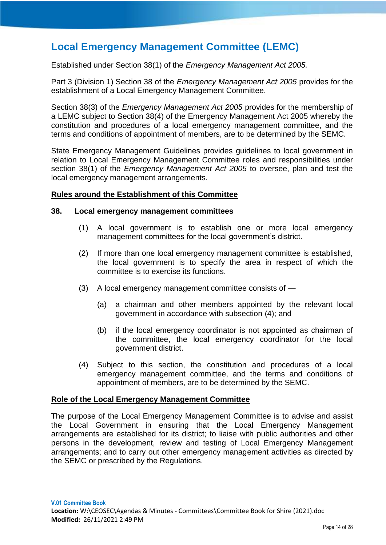# <span id="page-22-0"></span>**Local Emergency Management Committee (LEMC)**

Established under Section 38(1) of the *Emergency Management Act 2005.*

Part 3 (Division 1) Section 38 of the *Emergency Management Act 2005* provides for the establishment of a Local Emergency Management Committee.

Section 38(3) of the *Emergency Management Act 2005* provides for the membership of a LEMC subject to Section 38(4) of the Emergency Management Act 2005 whereby the constitution and procedures of a local emergency management committee, and the terms and conditions of appointment of members, are to be determined by the SEMC.

State Emergency Management Guidelines provides guidelines to local government in relation to Local Emergency Management Committee roles and responsibilities under section 38(1) of the *Emergency Management Act 2005* to oversee, plan and test the local emergency management arrangements.

#### **Rules around the Establishment of this Committee**

#### **38. Local emergency management committees**

- (1) A local government is to establish one or more local emergency management committees for the local government's district.
- (2) If more than one local emergency management committee is established, the local government is to specify the area in respect of which the committee is to exercise its functions.
- (3) A local emergency management committee consists of
	- (a) a chairman and other members appointed by the relevant local government in accordance with subsection (4); and
	- (b) if the local emergency coordinator is not appointed as chairman of the committee, the local emergency coordinator for the local government district.
- (4) Subject to this section, the constitution and procedures of a local emergency management committee, and the terms and conditions of appointment of members, are to be determined by the SEMC.

#### **Role of the Local Emergency Management Committee**

The purpose of the Local Emergency Management Committee is to advise and assist the Local Government in ensuring that the Local Emergency Management arrangements are established for its district; to liaise with public authorities and other persons in the development, review and testing of Local Emergency Management arrangements; and to carry out other emergency management activities as directed by the SEMC or prescribed by the Regulations.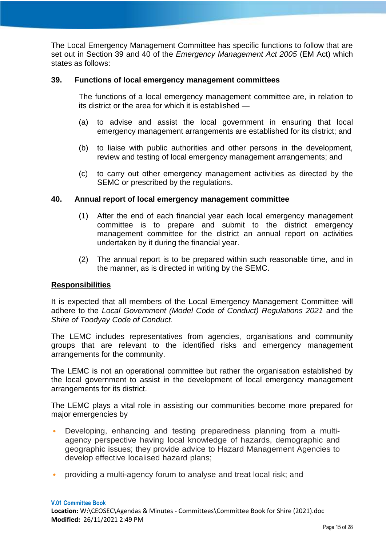The Local Emergency Management Committee has specific functions to follow that are set out in Section 39 and 40 of the *Emergency Management Act 2005* (EM Act) which states as follows:

#### **39. Functions of local emergency management committees**

The functions of a local emergency management committee are, in relation to its district or the area for which it is established —

- (a) to advise and assist the local government in ensuring that local emergency management arrangements are established for its district; and
- (b) to liaise with public authorities and other persons in the development, review and testing of local emergency management arrangements; and
- (c) to carry out other emergency management activities as directed by the SEMC or prescribed by the regulations.

#### **40. Annual report of local emergency management committee**

- (1) After the end of each financial year each local emergency management committee is to prepare and submit to the district emergency management committee for the district an annual report on activities undertaken by it during the financial year.
- (2) The annual report is to be prepared within such reasonable time, and in the manner, as is directed in writing by the SEMC.

#### **Responsibilities**

It is expected that all members of the Local Emergency Management Committee will adhere to the *Local Government (Model Code of Conduct) Regulations 2021* and the *Shire of Toodyay Code of Conduct.*

The LEMC includes representatives from agencies, organisations and community groups that are relevant to the identified risks and emergency management arrangements for the community.

The LEMC is not an operational committee but rather the organisation established by the local government to assist in the development of local emergency management arrangements for its district.

The LEMC plays a vital role in assisting our communities become more prepared for major emergencies by

- Developing, enhancing and testing preparedness planning from a multiagency perspective having local knowledge of hazards, demographic and geographic issues; they provide advice to Hazard Management Agencies to develop effective localised hazard plans;
- providing a multi-agency forum to analyse and treat local risk; and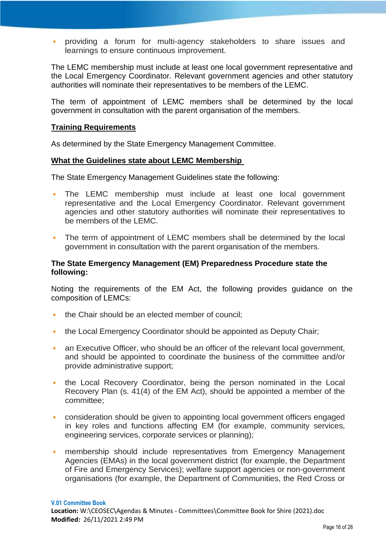• providing a forum for multi-agency stakeholders to share issues and learnings to ensure continuous improvement.

The LEMC membership must include at least one local government representative and the Local Emergency Coordinator. Relevant government agencies and other statutory authorities will nominate their representatives to be members of the LEMC.

The term of appointment of LEMC members shall be determined by the local government in consultation with the parent organisation of the members.

#### **Training Requirements**

As determined by the State Emergency Management Committee.

#### **What the Guidelines state about LEMC Membership**

The State Emergency Management Guidelines state the following:

- The LEMC membership must include at least one local government representative and the Local Emergency Coordinator. Relevant government agencies and other statutory authorities will nominate their representatives to be members of the LEMC.
- The term of appointment of LEMC members shall be determined by the local government in consultation with the parent organisation of the members.

#### **The State Emergency Management (EM) Preparedness Procedure state the following:**

Noting the requirements of the EM Act, the following provides guidance on the composition of LEMCs:

- the Chair should be an elected member of council;
- the Local Emergency Coordinator should be appointed as Deputy Chair;
- an Executive Officer, who should be an officer of the relevant local government, and should be appointed to coordinate the business of the committee and/or provide administrative support;
- the Local Recovery Coordinator, being the person nominated in the Local Recovery Plan (s. 41(4) of the EM Act), should be appointed a member of the committee;
- consideration should be given to appointing local government officers engaged in key roles and functions affecting EM (for example, community services, engineering services, corporate services or planning);
- membership should include representatives from Emergency Management Agencies (EMAs) in the local government district (for example, the Department of Fire and Emergency Services); welfare support agencies or non-government organisations (for example, the Department of Communities, the Red Cross or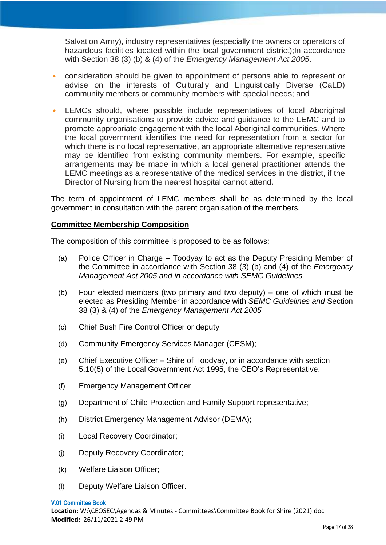Salvation Army), industry representatives (especially the owners or operators of hazardous facilities located within the local government district); In accordance with Section 38 (3) (b) & (4) of the *Emergency Management Act 2005*.

- consideration should be given to appointment of persons able to represent or advise on the interests of Culturally and Linguistically Diverse (CaLD) community members or community members with special needs; and
- LEMCs should, where possible include representatives of local Aboriginal community organisations to provide advice and guidance to the LEMC and to promote appropriate engagement with the local Aboriginal communities. Where the local government identifies the need for representation from a sector for which there is no local representative, an appropriate alternative representative may be identified from existing community members. For example, specific arrangements may be made in which a local general practitioner attends the LEMC meetings as a representative of the medical services in the district, if the Director of Nursing from the nearest hospital cannot attend.

The term of appointment of LEMC members shall be as determined by the local government in consultation with the parent organisation of the members.

# **Committee Membership Composition**

The composition of this committee is proposed to be as follows:

- (a) Police Officer in Charge Toodyay to act as the Deputy Presiding Member of the Committee in accordance with Section 38 (3) (b) and (4) of the *Emergency Management Act 2005 and in accordance with SEMC Guidelines.*
- (b) Four elected members (two primary and two deputy) one of which must be elected as Presiding Member in accordance with *SEMC Guidelines and* Section 38 (3) & (4) of the *Emergency Management Act 2005*
- (c) Chief Bush Fire Control Officer or deputy
- (d) Community Emergency Services Manager (CESM);
- (e) Chief Executive Officer Shire of Toodyay, or in accordance with section 5.10(5) of the Local Government Act 1995, the CEO's Representative.
- (f) Emergency Management Officer
- (g) Department of Child Protection and Family Support representative;
- (h) District Emergency Management Advisor (DEMA);
- (i) Local Recovery Coordinator;
- (j) Deputy Recovery Coordinator;
- (k) Welfare Liaison Officer;
- (l) Deputy Welfare Liaison Officer.

**V.01 Committee Book Location:** W:\CEOSEC\Agendas & Minutes - Committees\Committee Book for Shire (2021).doc **Modified:** 26/11/2021 2:49 PM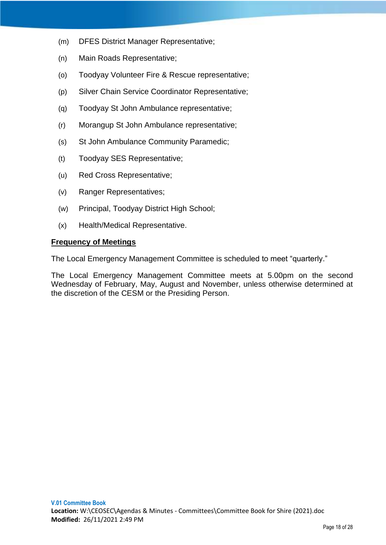- (m) DFES District Manager Representative;
- (n) Main Roads Representative;
- (o) Toodyay Volunteer Fire & Rescue representative;
- (p) Silver Chain Service Coordinator Representative;
- (q) Toodyay St John Ambulance representative;
- (r) Morangup St John Ambulance representative;
- (s) St John Ambulance Community Paramedic;
- (t) Toodyay SES Representative;
- (u) Red Cross Representative;
- (v) Ranger Representatives;
- (w) Principal, Toodyay District High School;
- (x) Health/Medical Representative.

#### **Frequency of Meetings**

The Local Emergency Management Committee is scheduled to meet "quarterly."

The Local Emergency Management Committee meets at 5.00pm on the second Wednesday of February, May, August and November, unless otherwise determined at the discretion of the CESM or the Presiding Person.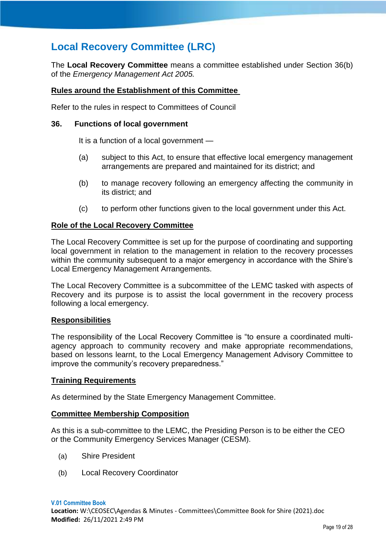# <span id="page-27-0"></span>**Local Recovery Committee (LRC)**

The **Local Recovery Committee** means a committee established under Section 36(b) of the *Emergency Management Act 2005.*

# **Rules around the Establishment of this Committee**

Refer to the rules in respect to Committees of Council

#### **36. Functions of local government**

It is a function of a local government —

- (a) subject to this Act, to ensure that effective local emergency management arrangements are prepared and maintained for its district; and
- (b) to manage recovery following an emergency affecting the community in its district; and
- (c) to perform other functions given to the local government under this Act.

#### **Role of the Local Recovery Committee**

The Local Recovery Committee is set up for the purpose of coordinating and supporting local government in relation to the management in relation to the recovery processes within the community subsequent to a major emergency in accordance with the Shire's Local Emergency Management Arrangements.

The Local Recovery Committee is a subcommittee of the LEMC tasked with aspects of Recovery and its purpose is to assist the local government in the recovery process following a local emergency.

#### **Responsibilities**

The responsibility of the Local Recovery Committee is "to ensure a coordinated multiagency approach to community recovery and make appropriate recommendations, based on lessons learnt, to the Local Emergency Management Advisory Committee to improve the community's recovery preparedness."

#### **Training Requirements**

As determined by the State Emergency Management Committee.

# **Committee Membership Composition**

As this is a sub-committee to the LEMC, the Presiding Person is to be either the CEO or the Community Emergency Services Manager (CESM).

- (a) Shire President
- (b) Local Recovery Coordinator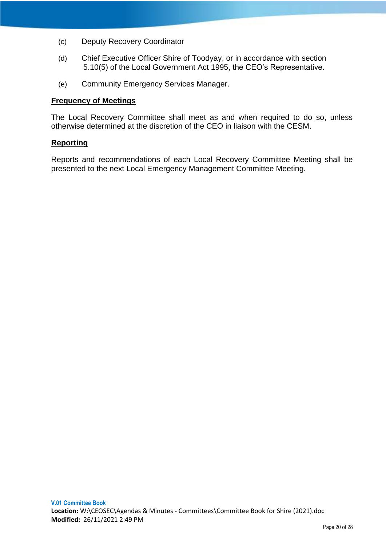- (c) Deputy Recovery Coordinator
- (d) Chief Executive Officer Shire of Toodyay, or in accordance with section 5.10(5) of the Local Government Act 1995, the CEO's Representative.
- (e) Community Emergency Services Manager.

#### **Frequency of Meetings**

The Local Recovery Committee shall meet as and when required to do so, unless otherwise determined at the discretion of the CEO in liaison with the CESM.

#### **Reporting**

Reports and recommendations of each Local Recovery Committee Meeting shall be presented to the next Local Emergency Management Committee Meeting.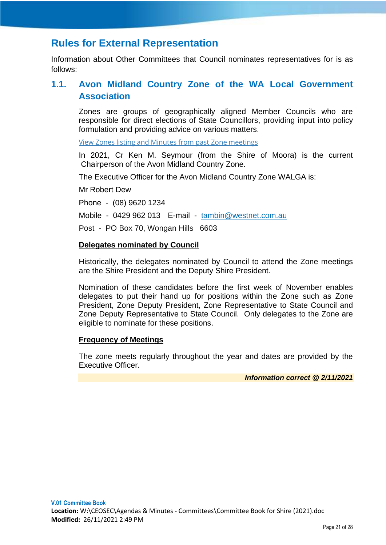# <span id="page-29-0"></span>**Rules for External Representation**

Information about Other Committees that Council nominates representatives for is as follows:

# <span id="page-29-1"></span>**1.1. Avon Midland Country Zone of the WA Local Government Association**

Zones are groups of geographically aligned Member Councils who are responsible for direct elections of State Councillors, providing input into policy formulation and providing advice on various matters.

[View Zones listing and Minutes from past Zone meetings](https://walga.asn.au/About-WALGA/Structure/Zones.aspx)

In 2021, Cr Ken M. Seymour (from the Shire of Moora) is the current Chairperson of the Avon Midland Country Zone.

The Executive Officer for the Avon Midland Country Zone WALGA is:

Mr Robert Dew

Phone - (08) 9620 1234

Mobile - 0429 962 013 E-mail - [tambin@westnet.com.au](mailto:tambin@westnet.com.au)

Post - PO Box 70, Wongan Hills 6603

#### **Delegates nominated by Council**

Historically, the delegates nominated by Council to attend the Zone meetings are the Shire President and the Deputy Shire President.

Nomination of these candidates before the first week of November enables delegates to put their hand up for positions within the Zone such as Zone President, Zone Deputy President, Zone Representative to State Council and Zone Deputy Representative to State Council. Only delegates to the Zone are eligible to nominate for these positions.

# **Frequency of Meetings**

The zone meets regularly throughout the year and dates are provided by the Executive Officer.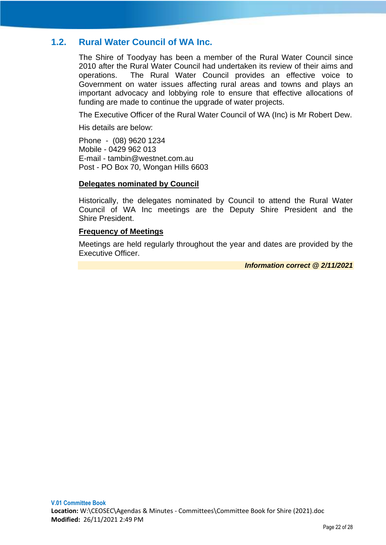# <span id="page-30-0"></span>**1.2. Rural Water Council of WA Inc.**

The Shire of Toodyay has been a member of the Rural Water Council since 2010 after the Rural Water Council had undertaken its review of their aims and operations. The Rural Water Council provides an effective voice to Government on water issues affecting rural areas and towns and plays an important advocacy and lobbying role to ensure that effective allocations of funding are made to continue the upgrade of water projects.

The Executive Officer of the Rural Water Council of WA (Inc) is Mr Robert Dew.

His details are below:

Phone - (08) 9620 1234 Mobile - 0429 962 013 E-mail - tambin@westnet.com.au Post - PO Box 70, Wongan Hills 6603

#### **Delegates nominated by Council**

Historically, the delegates nominated by Council to attend the Rural Water Council of WA Inc meetings are the Deputy Shire President and the Shire President.

# **Frequency of Meetings**

Meetings are held regularly throughout the year and dates are provided by the Executive Officer.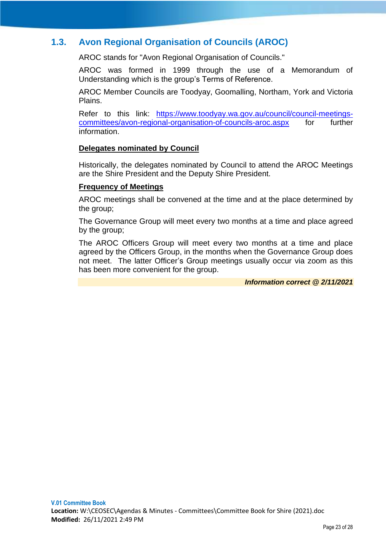# <span id="page-31-0"></span>**1.3. Avon Regional Organisation of Councils (AROC)**

AROC stands for "Avon Regional Organisation of Councils."

AROC was formed in 1999 through the use of a Memorandum of Understanding which is the group's Terms of Reference.

AROC Member Councils are Toodyay, Goomalling, Northam, York and Victoria Plains.

Refer to this link: [https://www.toodyay.wa.gov.au/council/council-meetings](https://www.toodyay.wa.gov.au/council/council-meetings-committees/avon-regional-organisation-of-councils-aroc.aspx)[committees/avon-regional-organisation-of-councils-aroc.aspx](https://www.toodyay.wa.gov.au/council/council-meetings-committees/avon-regional-organisation-of-councils-aroc.aspx) for further information.

# **Delegates nominated by Council**

Historically, the delegates nominated by Council to attend the AROC Meetings are the Shire President and the Deputy Shire President.

# **Frequency of Meetings**

AROC meetings shall be convened at the time and at the place determined by the group;

The Governance Group will meet every two months at a time and place agreed by the group;

The AROC Officers Group will meet every two months at a time and place agreed by the Officers Group, in the months when the Governance Group does not meet. The latter Officer's Group meetings usually occur via zoom as this has been more convenient for the group.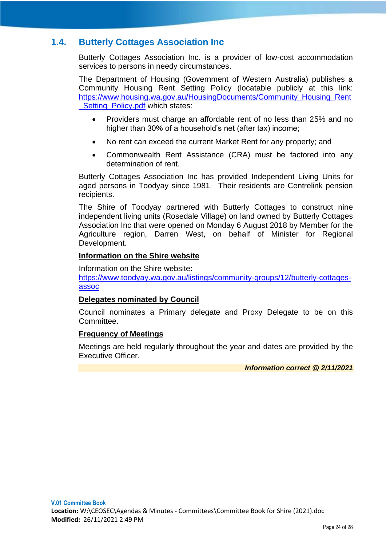# <span id="page-32-0"></span>**1.4. Butterly Cottages Association Inc**

Butterly Cottages Association Inc. is a provider of low-cost accommodation services to persons in needy circumstances.

The Department of Housing (Government of Western Australia) publishes a Community Housing Rent Setting Policy (locatable publicly at this link: [https://www.housing.wa.gov.au/HousingDocuments/Community\\_Housing\\_Rent](https://www.housing.wa.gov.au/HousingDocuments/Community_Housing_Rent_Setting_Policy.pdf) Setting Policy.pdf which states:

- Providers must charge an affordable rent of no less than 25% and no higher than 30% of a household's net (after tax) income;
- No rent can exceed the current Market Rent for any property; and
- Commonwealth Rent Assistance (CRA) must be factored into any determination of rent.

Butterly Cottages Association Inc has provided Independent Living Units for aged persons in Toodyay since 1981. Their residents are Centrelink pension recipients.

The Shire of Toodyay partnered with Butterly Cottages to construct nine independent living units (Rosedale Village) on land owned by Butterly Cottages Association Inc that were opened on Monday 6 August 2018 by Member for the Agriculture region, Darren West, on behalf of Minister for Regional Development.

#### **Information on the Shire website**

Information on the Shire website: [https://www.toodyay.wa.gov.au/listings/community-groups/12/butterly-cottages](https://www.toodyay.wa.gov.au/listings/community-groups/12/butterly-cottages-assoc)[assoc](https://www.toodyay.wa.gov.au/listings/community-groups/12/butterly-cottages-assoc)

#### **Delegates nominated by Council**

Council nominates a Primary delegate and Proxy Delegate to be on this Committee.

# **Frequency of Meetings**

Meetings are held regularly throughout the year and dates are provided by the Executive Officer.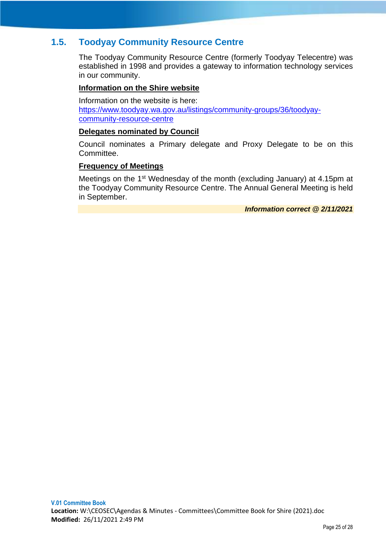# <span id="page-33-0"></span>**1.5. Toodyay Community Resource Centre**

The Toodyay Community Resource Centre (formerly Toodyay Telecentre) was established in 1998 and provides a gateway to information technology services in our community.

# **Information on the Shire website**

Information on the website is here: [https://www.toodyay.wa.gov.au/listings/community-groups/36/toodyay](https://www.toodyay.wa.gov.au/listings/community-groups/36/toodyay-community-resource-centre)[community-resource-centre](https://www.toodyay.wa.gov.au/listings/community-groups/36/toodyay-community-resource-centre)

# **Delegates nominated by Council**

Council nominates a Primary delegate and Proxy Delegate to be on this Committee.

# **Frequency of Meetings**

Meetings on the 1<sup>st</sup> Wednesday of the month (excluding January) at 4.15pm at the Toodyay Community Resource Centre. The Annual General Meeting is held in September.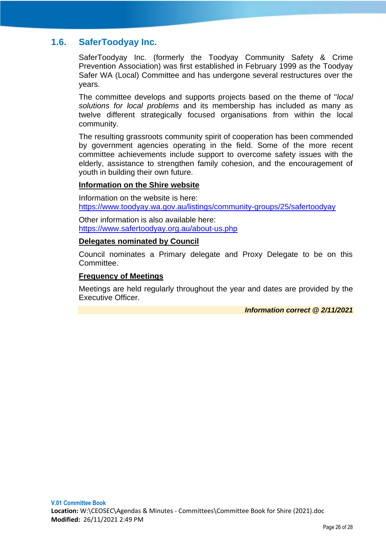# <span id="page-34-0"></span>**1.6. SaferToodyay Inc.**

SaferToodyay Inc. (formerly the Toodyay Community Safety & Crime Prevention Association) was first established in February 1999 as the Toodyay Safer WA (Local) Committee and has undergone several restructures over the years.

The committee develops and supports projects based on the theme of ''*local solutions for local problems* and its membership has included as many as twelve different strategically focused organisations from within the local community.

The resulting grassroots community spirit of cooperation has been commended by government agencies operating in the field. Some of the more recent committee achievements include support to overcome safety issues with the elderly, assistance to strengthen family cohesion, and the encouragement of youth in building their own future.

#### **Information on the Shire website**

Information on the website is here: <https://www.toodyay.wa.gov.au/listings/community-groups/25/safertoodyay>

Other information is also available here: <https://www.safertoodyay.org.au/about-us.php>

#### **Delegates nominated by Council**

Council nominates a Primary delegate and Proxy Delegate to be on this Committee.

# **Frequency of Meetings**

Meetings are held regularly throughout the year and dates are provided by the Executive Officer.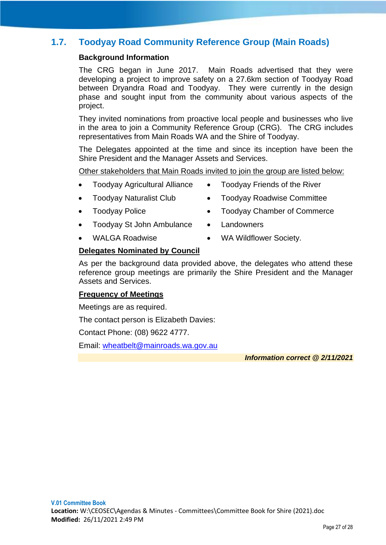# <span id="page-35-0"></span>**1.7. Toodyay Road Community Reference Group (Main Roads)**

# **Background Information**

The CRG began in June 2017. Main Roads advertised that they were developing a project to improve safety on a 27.6km section of Toodyay Road between Dryandra Road and Toodyay. They were currently in the design phase and sought input from the community about various aspects of the project.

They invited nominations from proactive local people and businesses who live in the area to join a Community Reference Group (CRG). The CRG includes representatives from Main Roads WA and the Shire of Toodyay.

The Delegates appointed at the time and since its inception have been the Shire President and the Manager Assets and Services.

Other stakeholders that Main Roads invited to join the group are listed below:

- Toodyay Agricultural Alliance Toodyay Friends of the River
- Toodyay Naturalist Club Toodyay Roadwise Committee
- Toodyay Police Toodyay Chamber of Commerce
	-
- Toodyay St John Ambulance Landowners
- WALGA Roadwise WA Wildflower Society.
- 

# **Delegates Nominated by Council**

As per the background data provided above, the delegates who attend these reference group meetings are primarily the Shire President and the Manager Assets and Services.

# **Frequency of Meetings**

Meetings are as required.

The contact person is Elizabeth Davies:

Contact Phone: (08) 9622 4777.

Email: [wheatbelt@mainroads.wa.gov.au](mailto:wheatbelt@mainroads.wa.gov.au)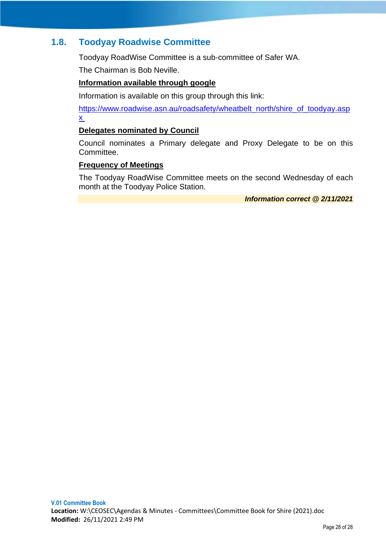# <span id="page-36-0"></span>**1.8. Toodyay Roadwise Committee**

Toodyay RoadWise Committee is a sub-committee of Safer WA.

The Chairman is Bob Neville.

# **Information available through google**

Information is available on this group through this link:

[https://www.roadwise.asn.au/roadsafety/wheatbelt\\_north/shire\\_of\\_toodyay.asp](https://www.roadwise.asn.au/roadsafety/wheatbelt_north/shire_of_toodyay.aspx) [x](https://www.roadwise.asn.au/roadsafety/wheatbelt_north/shire_of_toodyay.aspx)

# **Delegates nominated by Council**

Council nominates a Primary delegate and Proxy Delegate to be on this Committee.

# **Frequency of Meetings**

The Toodyay RoadWise Committee meets on the second Wednesday of each month at the Toodyay Police Station.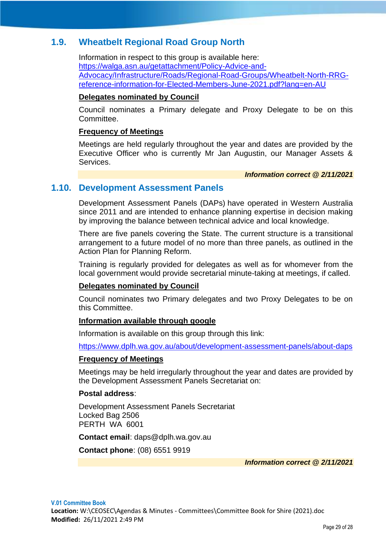# <span id="page-37-0"></span>**1.9. Wheatbelt Regional Road Group North**

Information in respect to this group is available here: [https://walga.asn.au/getattachment/Policy-Advice-and-](https://walga.asn.au/getattachment/Policy-Advice-and-Advocacy/Infrastructure/Roads/Regional-Road-Groups/Wheatbelt-North-RRG-reference-information-for-Elected-Members-June-2021.pdf?lang=en-AU)[Advocacy/Infrastructure/Roads/Regional-Road-Groups/Wheatbelt-North-RRG](https://walga.asn.au/getattachment/Policy-Advice-and-Advocacy/Infrastructure/Roads/Regional-Road-Groups/Wheatbelt-North-RRG-reference-information-for-Elected-Members-June-2021.pdf?lang=en-AU)[reference-information-for-Elected-Members-June-2021.pdf?lang=en-AU](https://walga.asn.au/getattachment/Policy-Advice-and-Advocacy/Infrastructure/Roads/Regional-Road-Groups/Wheatbelt-North-RRG-reference-information-for-Elected-Members-June-2021.pdf?lang=en-AU)

#### **Delegates nominated by Council**

Council nominates a Primary delegate and Proxy Delegate to be on this **Committee.** 

#### **Frequency of Meetings**

Meetings are held regularly throughout the year and dates are provided by the Executive Officer who is currently Mr Jan Augustin, our Manager Assets & Services.

*Information correct @ 2/11/2021*

# <span id="page-37-1"></span>**1.10. Development Assessment Panels**

Development Assessment Panels (DAPs) have operated in Western Australia since 2011 and are intended to enhance planning expertise in decision making by improving the balance between technical advice and local knowledge.

There are five panels covering the State. The current structure is a transitional arrangement to a future model of no more than three panels, as outlined in the Action Plan for Planning Reform.

Training is regularly provided for delegates as well as for whomever from the local government would provide secretarial minute-taking at meetings, if called.

# **Delegates nominated by Council**

Council nominates two Primary delegates and two Proxy Delegates to be on this Committee.

# **Information available through google**

Information is available on this group through this link:

<https://www.dplh.wa.gov.au/about/development-assessment-panels/about-daps>

# **Frequency of Meetings**

Meetings may be held irregularly throughout the year and dates are provided by the Development Assessment Panels Secretariat on:

# **Postal address**:

Development Assessment Panels Secretariat Locked Bag 2506 PERTH WA 6001

**Contact email**: [daps@dplh.wa.gov.au](mailto:daps@dplh.wa.gov.au)

**Contact phone**: (08) 6551 9919